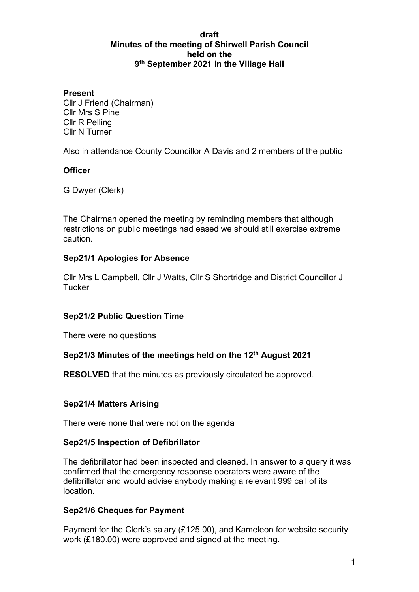#### **draft Minutes of the meeting of Shirwell Parish Council held on the 9th September 2021 in the Village Hall**

#### **Present**

Cllr J Friend (Chairman) Cllr Mrs S Pine Cllr R Pelling Cllr N Turner

Also in attendance County Councillor A Davis and 2 members of the public

#### **Officer**

G Dwyer (Clerk)

The Chairman opened the meeting by reminding members that although restrictions on public meetings had eased we should still exercise extreme caution.

#### **Sep21/1 Apologies for Absence**

Cllr Mrs L Campbell, Cllr J Watts, Cllr S Shortridge and District Councillor J **Tucker** 

#### **Sep21**/**2 Public Question Time**

There were no questions

#### **Sep21/3 Minutes of the meetings held on the 12th August 2021**

**RESOLVED** that the minutes as previously circulated be approved.

#### **Sep21/4 Matters Arising**

There were none that were not on the agenda

#### **Sep21/5 Inspection of Defibrillator**

The defibrillator had been inspected and cleaned. In answer to a query it was confirmed that the emergency response operators were aware of the defibrillator and would advise anybody making a relevant 999 call of its location.

#### **Sep21/6 Cheques for Payment**

Payment for the Clerk's salary (£125.00), and Kameleon for website security work (£180.00) were approved and signed at the meeting.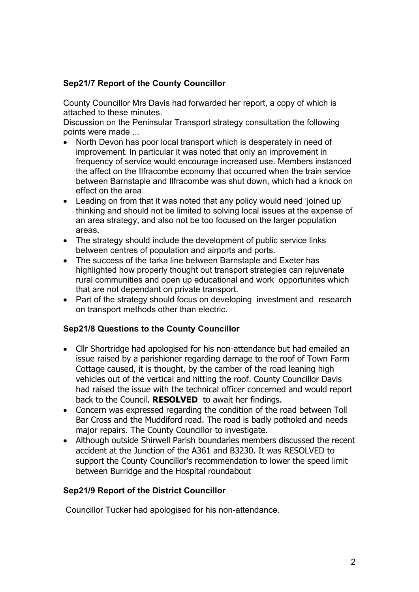### **Sep21/7 Report of the County Councillor**

County Councillor Mrs Davis had forwarded her report, a copy of which is attached to these minutes.

Discussion on the Peninsular Transport strategy consultation the following points were made ...

- North Devon has poor local transport which is desperately in need of improvement. In particular it was noted that only an improvement in frequency of service would encourage increased use. Members instanced the affect on the Ilfracombe economy that occurred when the train service between Barnstaple and Ilfracombe was shut down, which had a knock on effect on the area.
- Leading on from that it was noted that any policy would need 'joined up' thinking and should not be limited to solving local issues at the expense of an area strategy, and also not be too focused on the larger population areas.
- The strategy should include the development of public service links between centres of population and airports and ports.
- The success of the tarka line between Barnstaple and Exeter has highlighted how properly thought out transport strategies can rejuvenate rural communities and open up educational and work opportunites which that are not dependant on private transport.
- Part of the strategy should focus on developing investment and research on transport methods other than electric.

#### **Sep21/8 Questions to the County Councillor**

- Cllr Shortridge had apologised for his non-attendance but had emailed an issue raised by a parishioner regarding damage to the roof of Town Farm Cottage caused, it is thought, by the camber of the road leaning high vehicles out of the vertical and hitting the roof. County Councillor Davis had raised the issue with the technical officer concerned and would report back to the Council. **RESOLVED** to await her findings.
- Concern was expressed regarding the condition of the road between Toll Bar Cross and the Muddiford road. The road is badly potholed and needs major repairs. The County Councillor to investigate.
- Although outside Shirwell Parish boundaries members discussed the recent accident at the Junction of the A361 and B3230. It was RESOLVED to support the County Councillor's recommendation to lower the speed limit between Burridge and the Hospital roundabout

#### **Sep21/9 Report of the District Councillor**

Councillor Tucker had apologised for his non-attendance.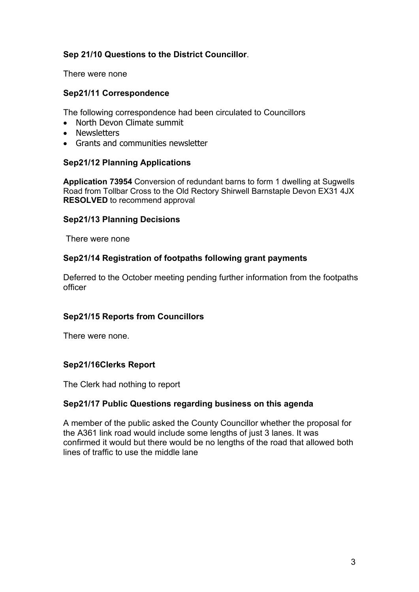### **Sep 21/10 Questions to the District Councillor**.

There were none

#### **Sep21/11 Correspondence**

The following correspondence had been circulated to Councillors

- North Devon Climate summit
- Newsletters
- Grants and communities newsletter

#### **Sep21/12 Planning Applications**

**Application 73954** Conversion of redundant barns to form 1 dwelling at Sugwells Road from Tollbar Cross to the Old Rectory Shirwell Barnstaple Devon EX31 4JX **RESOLVED** to recommend approval

#### **Sep21/13 Planning Decisions**

There were none

#### **Sep21/14 Registration of footpaths following grant payments**

Deferred to the October meeting pending further information from the footpaths officer

#### **Sep21/15 Reports from Councillors**

There were none.

#### **Sep21/16Clerks Report**

The Clerk had nothing to report

#### **Sep21/17 Public Questions regarding business on this agenda**

A member of the public asked the County Councillor whether the proposal for the A361 link road would include some lengths of just 3 lanes. It was confirmed it would but there would be no lengths of the road that allowed both lines of traffic to use the middle lane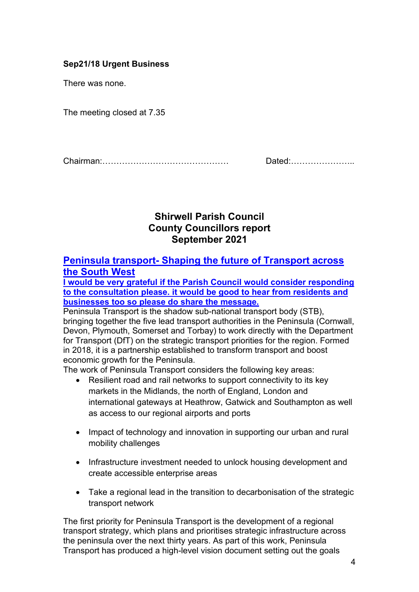### **Sep21/18 Urgent Business**

There was none.

The meeting closed at 7.35

Chairman:……………………………………… Dated:…………………..

## **Shirwell Parish Council County Councillors report September 2021**

### **Peninsula transport- Shaping the future of Transport across the South West**

**I would be very grateful if the Parish Council would consider responding to the consultation please. it would be good to hear from residents and businesses too so please do share the message.**

Peninsula Transport is the shadow sub-national transport body (STB), bringing together the five lead transport authorities in the Peninsula (Cornwall, Devon, Plymouth, Somerset and Torbay) to work directly with the Department for Transport (DfT) on the strategic transport priorities for the region. Formed in 2018, it is a partnership established to transform transport and boost economic growth for the Peninsula.

The work of Peninsula Transport considers the following key areas:

- Resilient road and rail networks to support connectivity to its key markets in the Midlands, the north of England, London and international gateways at Heathrow, Gatwick and Southampton as well as access to our regional airports and ports
- Impact of technology and innovation in supporting our urban and rural mobility challenges
- Infrastructure investment needed to unlock housing development and create accessible enterprise areas
- Take a regional lead in the transition to decarbonisation of the strategic transport network

The first priority for Peninsula Transport is the development of a regional transport strategy, which plans and prioritises strategic infrastructure across the peninsula over the next thirty years. As part of this work, Peninsula Transport has produced a high-level vision document setting out the goals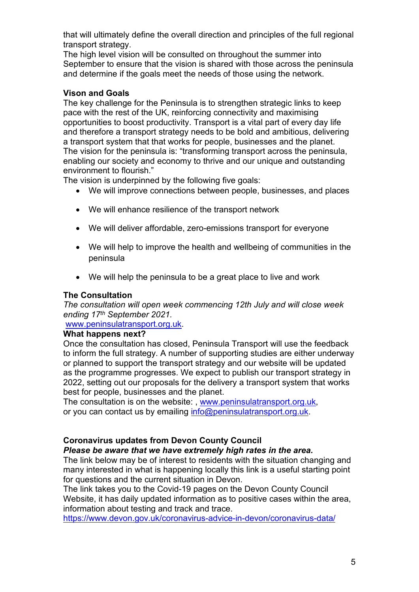that will ultimately define the overall direction and principles of the full regional transport strategy.

The high level vision will be consulted on throughout the summer into September to ensure that the vision is shared with those across the peninsula and determine if the goals meet the needs of those using the network.

#### **Vison and Goals**

The key challenge for the Peninsula is to strengthen strategic links to keep pace with the rest of the UK, reinforcing connectivity and maximising opportunities to boost productivity. Transport is a vital part of every day life and therefore a transport strategy needs to be bold and ambitious, delivering a transport system that that works for people, businesses and the planet. The vision for the peninsula is: "transforming transport across the peninsula, enabling our society and economy to thrive and our unique and outstanding environment to flourish."

The vision is underpinned by the following five goals:

- We will improve connections between people, businesses, and places
- We will enhance resilience of the transport network
- We will deliver affordable, zero-emissions transport for everyone
- We will help to improve the health and wellbeing of communities in the peninsula
- We will help the peninsula to be a great place to live and work

#### **The Consultation**

*The consultation will open week commencing 12th July and will close week ending 17th September 2021.*

[www.peninsulatransport.org.uk.](http://www.peninsulatransport.org.uk/)

#### **What happens next?**

Once the consultation has closed, Peninsula Transport will use the feedback to inform the full strategy. A number of supporting studies are either underway or planned to support the transport strategy and our website will be updated as the programme progresses. We expect to publish our transport strategy in 2022, setting out our proposals for the delivery a transport system that works best for people, businesses and the planet.

The consultation is on the website: , [www.peninsulatransport.org.uk,](https://www.peninsulatransport.org.uk/) or you can contact us by emailing [info@peninsulatransport.org.uk.](mailto:info@peninsulatransport.org.uk)

### **Coronavirus updates from Devon County Council**

#### *Please be aware that we have extremely high rates in the area.*

The link below may be of interest to residents with the situation changing and many interested in what is happening locally this link is a useful starting point for questions and the current situation in Devon.

The link takes you to the Covid-19 pages on the Devon County Council Website, it has daily updated information as to positive cases within the area, information about testing and track and trace.

<https://www.devon.gov.uk/coronavirus-advice-in-devon/coronavirus-data/>